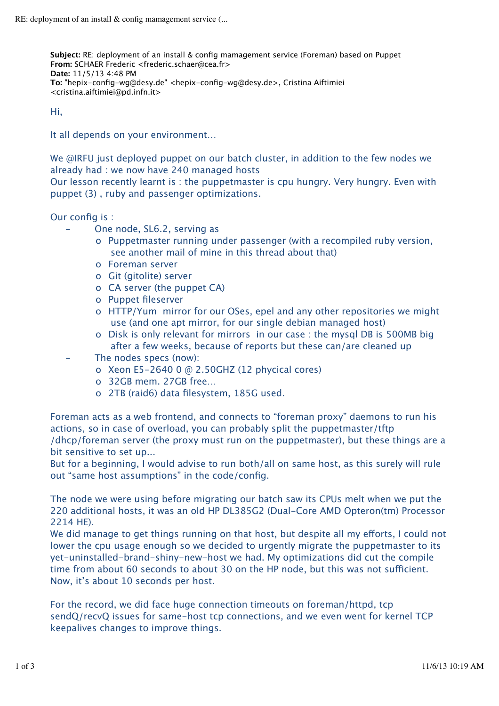**Subject:** RE: deployment of an install & config mamagement service (Foreman) based on Puppet **From:** SCHAER Frederic <frederic.schaer@cea.fr> **Date:** 11/5/13 4:48 PM **To:** "hepix-config-wg@desy.de" <hepix-config-wg@desy.de>, Cristina Aiftimiei <cristina.aiftimiei@pd.infn.it>

Hi,

It all depends on your environment…

We @IRFU just deployed puppet on our batch cluster, in addition to the few nodes we already had : we now have 240 managed hosts

Our lesson recently learnt is : the puppetmaster is cpu hungry. Very hungry. Even with puppet (3) , ruby and passenger optimizations.

Our config is :

- One node, SL6.2, serving as
	- o Puppetmaster running under passenger (with a recompiled ruby version, see another mail of mine in this thread about that)
	- o Foreman server
	- o Git (gitolite) server
	- o CA server (the puppet CA)
	- o Puppet fileserver
	- o HTTP/Yum mirror for our OSes, epel and any other repositories we might use (and one apt mirror, for our single debian managed host)
	- o Disk is only relevant for mirrors in our case : the mysql DB is 500MB big after a few weeks, because of reports but these can/are cleaned up
- The nodes specs (now):
	- o Xeon E5-2640 0 @ 2.50GHZ (12 phycical cores)
	- o 32GB mem. 27GB free…
	- o 2TB (raid6) data filesystem, 185G used.

Foreman acts as a web frontend, and connects to "foreman proxy" daemons to run his actions, so in case of overload, you can probably split the puppetmaster/tftp /dhcp/foreman server (the proxy must run on the puppetmaster), but these things are a bit sensitive to set up...

But for a beginning, I would advise to run both/all on same host, as this surely will rule out "same host assumptions" in the code/config.

The node we were using before migrating our batch saw its CPUs melt when we put the 220 additional hosts, it was an old HP DL385G2 (Dual-Core AMD Opteron(tm) Processor 2214 HE).

We did manage to get things running on that host, but despite all my efforts, I could not lower the cpu usage enough so we decided to urgently migrate the puppetmaster to its yet-uninstalled-brand-shiny-new-host we had. My optimizations did cut the compile time from about 60 seconds to about 30 on the HP node, but this was not sufficient. Now, it's about 10 seconds per host.

For the record, we did face huge connection timeouts on foreman/httpd, tcp sendQ/recvQ issues for same-host tcp connections, and we even went for kernel TCP keepalives changes to improve things.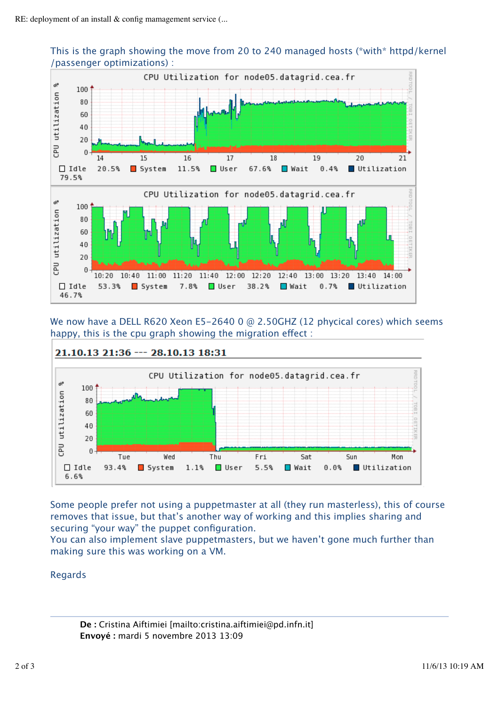

This is the graph showing the move from 20 to 240 managed hosts (\*with\* httpd/kernel /passenger optimizations) :

We now have a DELL R620 Xeon E5-2640 0 @ 2.50GHZ (12 phycical cores) which seems happy, this is the cpu graph showing the migration effect :



Some people prefer not using a puppetmaster at all (they run masterless), this of course removes that issue, but that's another way of working and this implies sharing and securing "your way" the puppet configuration.

You can also implement slave puppetmasters, but we haven't gone much further than making sure this was working on a VM.

## Regards

**De :** Cristina Aiftimiei [mailto:cristina.aiftimiei@pd.infn.it] **Envoyé :** mardi 5 novembre 2013 13:09